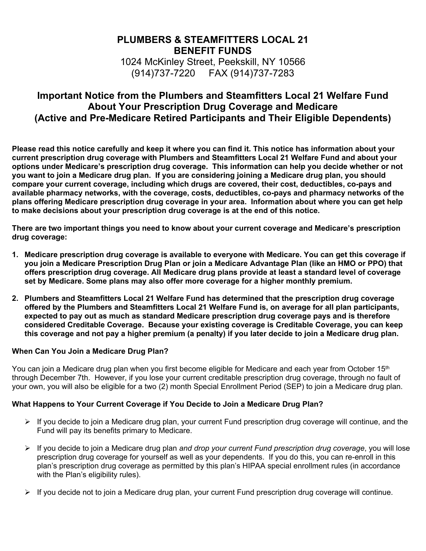# **PLUMBERS & STEAMFITTERS LOCAL 21 BENEFIT FUNDS**

1024 McKinley Street, Peekskill, NY 10566 (914)737-7220 FAX (914)737-7283

# **Important Notice from the Plumbers and Steamfitters Local 21 Welfare Fund About Your Prescription Drug Coverage and Medicare (Active and Pre-Medicare Retired Participants and Their Eligible Dependents)**

**Please read this notice carefully and keep it where you can find it. This notice has information about your current prescription drug coverage with Plumbers and Steamfitters Local 21 Welfare Fund and about your options under Medicare's prescription drug coverage. This information can help you decide whether or not you want to join a Medicare drug plan. If you are considering joining a Medicare drug plan, you should compare your current coverage, including which drugs are covered, their cost, deductibles, co-pays and available pharmacy networks, with the coverage, costs, deductibles, co-pays and pharmacy networks of the plans offering Medicare prescription drug coverage in your area. Information about where you can get help to make decisions about your prescription drug coverage is at the end of this notice.** 

**There are two important things you need to know about your current coverage and Medicare's prescription drug coverage:** 

- **1. Medicare prescription drug coverage is available to everyone with Medicare. You can get this coverage if you join a Medicare Prescription Drug Plan or join a Medicare Advantage Plan (like an HMO or PPO) that offers prescription drug coverage. All Medicare drug plans provide at least a standard level of coverage set by Medicare. Some plans may also offer more coverage for a higher monthly premium.**
- **2. Plumbers and Steamfitters Local 21 Welfare Fund has determined that the prescription drug coverage offered by the Plumbers and Steamfitters Local 21 Welfare Fund is, on average for all plan participants, expected to pay out as much as standard Medicare prescription drug coverage pays and is therefore considered Creditable Coverage. Because your existing coverage is Creditable Coverage, you can keep this coverage and not pay a higher premium (a penalty) if you later decide to join a Medicare drug plan.**

### **When Can You Join a Medicare Drug Plan?**

You can join a Medicare drug plan when you first become eligible for Medicare and each year from October 15<sup>th</sup> through December 7th. However, if you lose your current creditable prescription drug coverage, through no fault of your own, you will also be eligible for a two (2) month Special Enrollment Period (SEP) to join a Medicare drug plan.

### **What Happens to Your Current Coverage if You Decide to Join a Medicare Drug Plan?**

- $\triangleright$  If you decide to join a Medicare drug plan, your current Fund prescription drug coverage will continue, and the Fund will pay its benefits primary to Medicare.
- If you decide to join a Medicare drug plan *and drop your current Fund prescription drug coverage*, you will lose prescription drug coverage for yourself as well as your dependents. If you do this, you can re-enroll in this plan's prescription drug coverage as permitted by this plan's HIPAA special enrollment rules (in accordance with the Plan's eligibility rules).
- $\triangleright$  If you decide not to join a Medicare drug plan, your current Fund prescription drug coverage will continue.